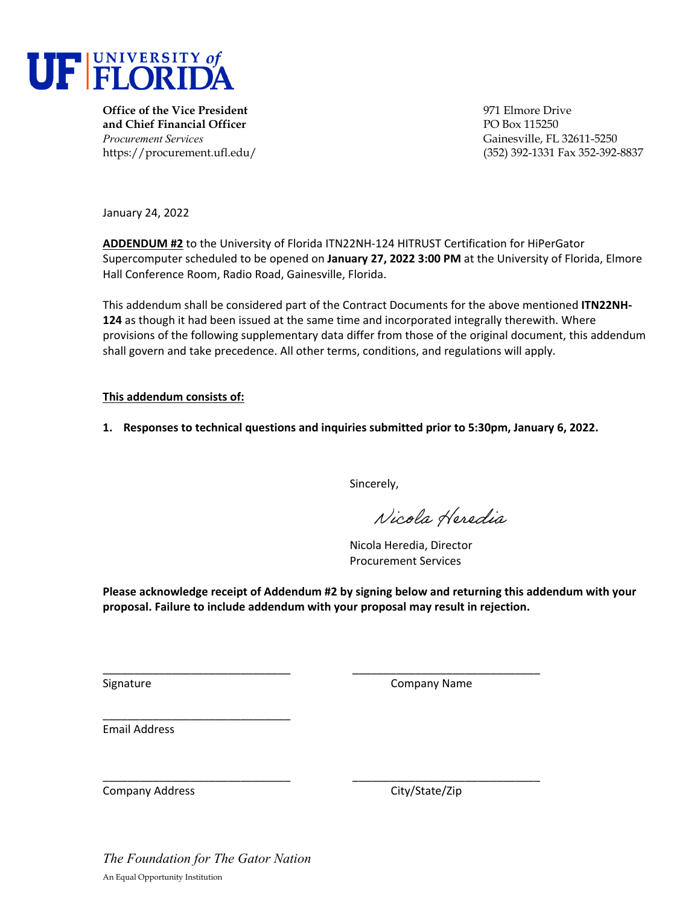

**Office of the Vice President** 971 Elmore Drive **and Chief Financial Officer PO Box 115250** *Procurement Services* Gainesville, FL 32611-5250

https://procurement.ufl.edu/ (352) 392-1331 Fax 352-392-8837

January 24, 2022

**ADDENDUM #2** to the University of Florida ITN22NH‐124 HITRUST Certification for HiPerGator Supercomputer scheduled to be opened on **January 27, 2022 3:00 PM** at the University of Florida, Elmore Hall Conference Room, Radio Road, Gainesville, Florida.

This addendum shall be considered part of the Contract Documents for the above mentioned **ITN22NH‐ 124** as though it had been issued at the same time and incorporated integrally therewith. Where provisions of the following supplementary data differ from those of the original document, this addendum shall govern and take precedence. All other terms, conditions, and regulations will apply.

## **This addendum consists of:**

**1. Responses to technical questions and inquiries submitted prior to 5:30pm, January 6, 2022.** 

Sincerely,

Nicola Heredia

Nicola Heredia, Director Procurement Services

**Please acknowledge receipt of Addendum #2 by signing below and returning this addendum with your proposal. Failure to include addendum with your proposal may result in rejection.**

\_\_\_\_\_\_\_\_\_\_\_\_\_\_\_\_\_\_\_\_\_\_\_\_\_\_\_\_\_\_ \_\_\_\_\_\_\_\_\_\_\_\_\_\_\_\_\_\_\_\_\_\_\_\_\_\_\_\_\_\_

\_\_\_\_\_\_\_\_\_\_\_\_\_\_\_\_\_\_\_\_\_\_\_\_\_\_\_\_\_\_ \_\_\_\_\_\_\_\_\_\_\_\_\_\_\_\_\_\_\_\_\_\_\_\_\_\_\_\_\_\_

Signature **Company Name** 

Email Address

Company Address 
Company Address

Company City/State/Zip

*The Foundation for The Gator Nation*  An Equal Opportunity Institution

\_\_\_\_\_\_\_\_\_\_\_\_\_\_\_\_\_\_\_\_\_\_\_\_\_\_\_\_\_\_